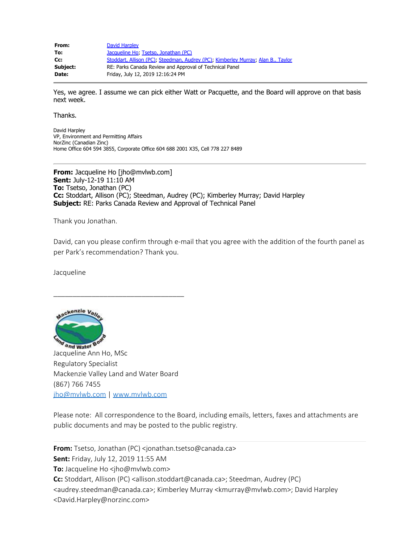| From:    | David Harpley                                                                    |
|----------|----------------------------------------------------------------------------------|
| To:      | Jacqueline Ho, Tsetso, Jonathan (PC)                                             |
| Cc:      | Stoddart, Allison (PC), Steedman, Audrey (PC), Kimberley Murray, Alan B., Taylor |
| Subject: | RE: Parks Canada Review and Approval of Technical Panel                          |
| Date:    | Friday, July 12, 2019 12:16:24 PM                                                |

Yes, we agree. I assume we can pick either Watt or Pacquette, and the Board will approve on that basis next week.

Thanks.

David Harpley VP, Environment and Permitting Affairs NorZinc (Canadian Zinc) Home Office 604 594 3855, Corporate Office 604 688 2001 X35, Cell 778 227 8489

**From:** Jacqueline Ho [jho@mvlwb.com] **Sent:** July-12-19 11:10 AM **To:** Tsetso, Jonathan (PC) **Cc:** Stoddart, Allison (PC); Steedman, Audrey (PC); Kimberley Murray; David Harpley **Subject:** RE: Parks Canada Review and Approval of Technical Panel

Thank you Jonathan.

David, can you please confirm through e-mail that you agree with the addition of the fourth panel as per Park's recommendation? Thank you.

Jacqueline



\_\_\_\_\_\_\_\_\_\_\_\_\_\_\_\_\_\_\_\_\_\_\_\_\_\_\_\_\_\_\_\_\_\_

Please note: All correspondence to the Board, including emails, letters, faxes and attachments are public documents and may be posted to the public registry.

**From:** Tsetso, Jonathan (PC) <jonathan.tsetso@canada.ca> **Sent:** Friday, July 12, 2019 11:55 AM **To:** Jacqueline Ho <jho@mvlwb.com> **Cc:** Stoddart, Allison (PC) <allison.stoddart@canada.ca>; Steedman, Audrey (PC) <audrey.steedman@canada.ca>; Kimberley Murray <kmurray@mvlwb.com>; David Harpley <David.Harpley@norzinc.com>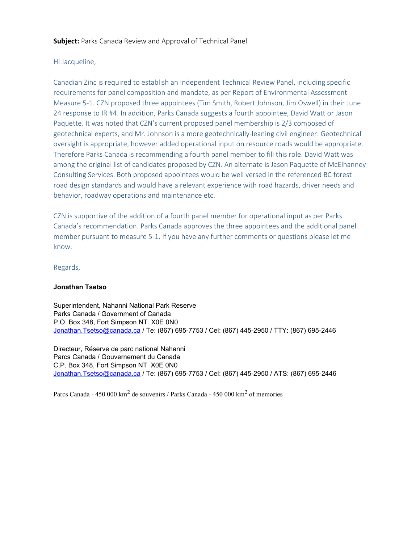# Hi Jacqueline,

Canadian Zinc is required to establish an Independent Technical Review Panel, including specific requirements for panel composition and mandate, as per Report of Environmental Assessment Measure 5-1. CZN proposed three appointees (Tim Smith, Robert Johnson, Jim Oswell) in their June 24 response to IR #4. In addition, Parks Canada suggests a fourth appointee, David Watt or Jason Paquette. It was noted that CZN's current proposed panel membership is 2/3 composed of geotechnical experts, and Mr. Johnson is a more geotechnically-leaning civil engineer. Geotechnical oversight is appropriate, however added operational input on resource roads would be appropriate. Therefore Parks Canada is recommending a fourth panel member to fill this role. David Watt was among the original list of candidates proposed by CZN. An alternate is Jason Paquette of McElhanney Consulting Services. Both proposed appointees would be well versed in the referenced BC forest road design standards and would have a relevant experience with road hazards, driver needs and behavior, roadway operations and maintenance etc.

CZN is supportive of the addition of a fourth panel member for operational input as per Parks Canada's recommendation. Parks Canada approves the three appointees and the additional panel member pursuant to measure 5-1. If you have any further comments or questions please let me know.

Regards,

# **Jonathan Tsetso**

Superintendent, Nahanni National Park Reserve Parks Canada / Government of Canada P.O. Box 348, Fort Simpson NT X0E 0N0 [Jonathan.Tsetso@canada.ca](mailto:Jonathan.Tsetso@canada.ca) / Te: (867) 695-7753 / Cel: (867) 445-2950 / TTY: (867) 695-2446

Directeur, Réserve de parc national Nahanni Parcs Canada / Gouvernement du Canada C.P. Box 348, Fort Simpson NT X0E 0N0 [Jonathan.Tsetso@canada.ca](mailto:Jonathan.Tsetso@canada.ca) / Te: (867) 695-7753 / Cel: (867) 445-2950 / ATS: (867) 695-2446

Parcs Canada - 450 000 km<sup>2</sup> de souvenirs / Parks Canada - 450 000 km<sup>2</sup> of memories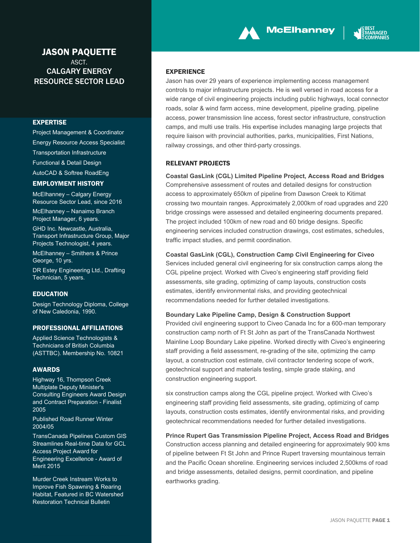# JASON PAQUETTE **ASCT.** CALGARY ENERGY RESOURCE SECTOR LEAD

#### EXPERTISE

Project Management & Coordinator Energy Resource Access Specialist Transportation Infrastructure Functional & Detail Design AutoCAD & Softree RoadEng

#### EMPLOYMENT HISTORY

McElhanney – Calgary Energy Resource Sector Lead, since 2016 McElhanney – Nanaimo Branch Project Manager, 6 years. GHD Inc. Newcastle, Australia,

Transport Infrastructure Group, Major Projects Technologist, 4 years. McElhanney – Smithers & Prince

George, 10 yrs.

DR Estey Engineering Ltd., Drafting Technician, 5 years.

### EDUCATION

Design Technology Diploma, College of New Caledonia, 1990.

### PROFESSIONAL AFFILIATIONS

Applied Science Technologists & Technicians of British Columbia (ASTTBC). Membership No. 10821

### AWARDS

Highway 16, Thompson Creek Multiplate Deputy Minister's Consulting Engineers Award Design and Contract Preparation - Finalist 2005

Published Road Runner Winter 2004/05

TransCanada Pipelines Custom GIS Streamlines Real-time Data for GCL Access Project Award for Engineering Excellence - Award of Merit 2015

Murder Creek Instream Works to Improve Fish Spawning & Rearing Habitat, Featured in BC Watershed Restoration Technical Bulletin

### EXPERIENCE

Jason has over 29 years of experience implementing access management controls to major infrastructure projects. He is well versed in road access for a wide range of civil engineering projects including public highways, local connector roads, solar & wind farm access, mine development, pipeline grading, pipeline access, power transmission line access, forest sector infrastructure, construction camps, and multi use trails. His expertise includes managing large projects that require liaison with provincial authorities, parks, municipalities, First Nations, railway crossings, and other third-party crossings.

**McElhanney** 

### RELEVANT PROJECTS

**Coastal GasLink (CGL) Limited Pipeline Project, Access Road and Bridges**  Comprehensive assessment of routes and detailed designs for construction access to approximately 650km of pipeline from Dawson Creek to Kitimat crossing two mountain ranges. Approximately 2,000km of road upgrades and 220 bridge crossings were assessed and detailed engineering documents prepared. The project included 100km of new road and 60 bridge designs. Specific engineering services included construction drawings, cost estimates, schedules, traffic impact studies, and permit coordination.

**Coastal GasLink (CGL), Construction Camp Civil Engineering for Civeo** 

Services included general civil engineering for six construction camps along the CGL pipeline project. Worked with Civeo's engineering staff providing field assessments, site grading, optimizing of camp layouts, construction costs estimates, identify environmental risks, and providing geotechnical recommendations needed for further detailed investigations.

### **Boundary Lake Pipeline Camp, Design & Construction Support**

Provided civil engineering support to Civeo Canada Inc for a 600-man temporary construction camp north of Ft St John as part of the TransCanada Northwest Mainline Loop Boundary Lake pipeline. Worked directly with Civeo's engineering staff providing a field assessment, re-grading of the site, optimizing the camp layout, a construction cost estimate, civil contractor tendering scope of work, geotechnical support and materials testing, simple grade staking, and construction engineering support.

six construction camps along the CGL pipeline project. Worked with Civeo's engineering staff providing field assessments, site grading, optimizing of camp layouts, construction costs estimates, identify environmental risks, and providing geotechnical recommendations needed for further detailed investigations.

**Prince Rupert Gas Transmission Pipeline Project, Access Road and Bridges**  Construction access planning and detailed engineering for approximately 900 kms of pipeline between Ft St John and Prince Rupert traversing mountainous terrain and the Pacific Ocean shoreline. Engineering services included 2,500kms of road and bridge assessments, detailed designs, permit coordination, and pipeline earthworks grading.

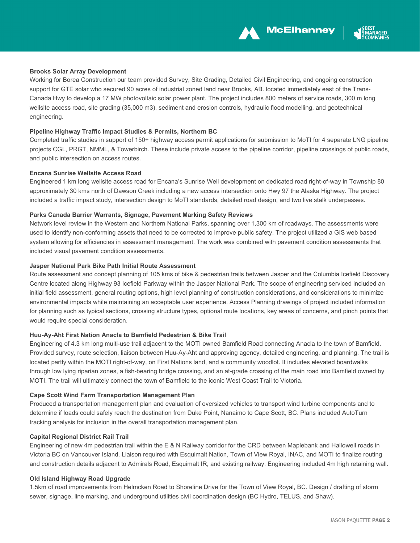

### **Brooks Solar Array Development**

Working for Borea Construction our team provided Survey, Site Grading, Detailed Civil Engineering, and ongoing construction support for GTE solar who secured 90 acres of industrial zoned land near Brooks, AB. located immediately east of the Trans-Canada Hwy to develop a 17 MW photovoltaic solar power plant. The project includes 800 meters of service roads, 300 m long wellsite access road, site grading (35,000 m3), sediment and erosion controls, hydraulic flood modelling, and geotechnical engineering.

#### **Pipeline Highway Traffic Impact Studies & Permits, Northern BC**

Completed traffic studies in support of 150+ highway access permit applications for submission to MoTI for 4 separate LNG pipeline projects CGL, PRGT, NMML, & Towerbirch. These include private access to the pipeline corridor, pipeline crossings of public roads, and public intersection on access routes.

#### **Encana Sunrise Wellsite Access Road**

Engineered 1 km long wellsite access road for Encana's Sunrise Well development on dedicated road right-of-way in Township 80 approximately 30 kms north of Dawson Creek including a new access intersection onto Hwy 97 the Alaska Highway. The project included a traffic impact study, intersection design to MoTI standards, detailed road design, and two live stalk underpasses.

#### **Parks Canada Barrier Warrants, Signage, Pavement Marking Safety Reviews**

Network level review in the Western and Northern National Parks, spanning over 1,300 km of roadways. The assessments were used to identify non-conforming assets that need to be corrected to improve public safety. The project utilized a GIS web based system allowing for efficiencies in assessment management. The work was combined with pavement condition assessments that included visual pavement condition assessments.

#### **Jasper National Park Bike Path Initial Route Assessment**

Route assessment and concept planning of 105 kms of bike & pedestrian trails between Jasper and the Columbia Icefield Discovery Centre located along Highway 93 Icefield Parkway within the Jasper National Park. The scope of engineering serviced included an initial field assessment, general routing options, high level planning of construction considerations, and considerations to minimize environmental impacts while maintaining an acceptable user experience. Access Planning drawings of project included information for planning such as typical sections, crossing structure types, optional route locations, key areas of concerns, and pinch points that would require special consideration.

### **Huu-Ay-Aht First Nation Anacla to Bamfield Pedestrian & Bike Trail**

Engineering of 4.3 km long multi-use trail adjacent to the MOTI owned Bamfield Road connecting Anacla to the town of Bamfield. Provided survey, route selection, liaison between Huu-Ay-Aht and approving agency, detailed engineering, and planning. The trail is located partly within the MOTI right-of-way, on First Nations land, and a community woodlot. It includes elevated boardwalks through low lying riparian zones, a fish-bearing bridge crossing, and an at-grade crossing of the main road into Bamfield owned by MOTI. The trail will ultimately connect the town of Bamfield to the iconic West Coast Trail to Victoria.

### **Cape Scott Wind Farm Transportation Management Plan**

Produced a transportation management plan and evaluation of oversized vehicles to transport wind turbine components and to determine if loads could safely reach the destination from Duke Point, Nanaimo to Cape Scott, BC. Plans included AutoTurn tracking analysis for inclusion in the overall transportation management plan.

#### **Capital Regional District Rail Trail**

Engineering of new 4m pedestrian trail within the E & N Railway corridor for the CRD between Maplebank and Hallowell roads in Victoria BC on Vancouver Island. Liaison required with Esquimalt Nation, Town of View Royal, INAC, and MOTI to finalize routing and construction details adjacent to Admirals Road, Esquimalt IR, and existing railway. Engineering included 4m high retaining wall.

#### **Old Island Highway Road Upgrade**

1.5km of road improvements from Helmcken Road to Shoreline Drive for the Town of View Royal, BC. Design / drafting of storm sewer, signage, line marking, and underground utilities civil coordination design (BC Hydro, TELUS, and Shaw).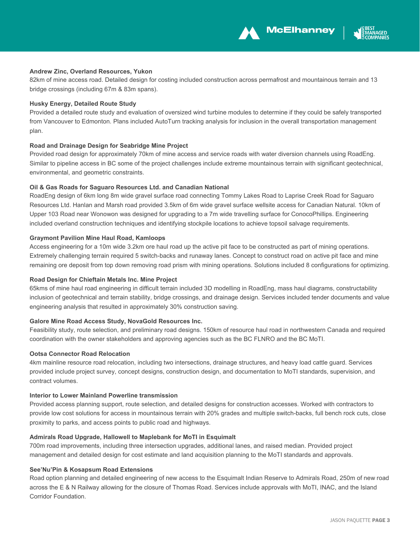



### **Andrew Zinc, Overland Resources, Yukon**

82km of mine access road. Detailed design for costing included construction across permafrost and mountainous terrain and 13 bridge crossings (including 67m & 83m spans).

#### **Husky Energy, Detailed Route Study**

Provided a detailed route study and evaluation of oversized wind turbine modules to determine if they could be safely transported from Vancouver to Edmonton. Plans included AutoTurn tracking analysis for inclusion in the overall transportation management plan.

#### **Road and Drainage Design for Seabridge Mine Project**

Provided road design for approximately 70km of mine access and service roads with water diversion channels using RoadEng. Similar to pipeline access in BC some of the project challenges include extreme mountainous terrain with significant geotechnical, environmental, and geometric constraints.

#### **Oil & Gas Roads for Saguaro Resources Ltd. and Canadian National**

RoadEng design of 6km long 8m wide gravel surface road connecting Tommy Lakes Road to Laprise Creek Road for Saguaro Resources Ltd. Hanlan and Marsh road provided 3.5km of 6m wide gravel surface wellsite access for Canadian Natural. 10km of Upper 103 Road near Wonowon was designed for upgrading to a 7m wide travelling surface for ConocoPhillips. Engineering included overland construction techniques and identifying stockpile locations to achieve topsoil salvage requirements.

#### **Graymont Pavilion Mine Haul Road, Kamloops**

Access engineering for a 10m wide 3.2km ore haul road up the active pit face to be constructed as part of mining operations. Extremely challenging terrain required 5 switch-backs and runaway lanes. Concept to construct road on active pit face and mine remaining ore deposit from top down removing road prism with mining operations. Solutions included 8 configurations for optimizing.

#### **Road Design for Chieftain Metals Inc. Mine Project**

65kms of mine haul road engineering in difficult terrain included 3D modelling in RoadEng, mass haul diagrams, constructability inclusion of geotechnical and terrain stability, bridge crossings, and drainage design. Services included tender documents and value engineering analysis that resulted in approximately 30% construction saving.

#### **Galore Mine Road Access Study, NovaGold Resources Inc.**

Feasibility study, route selection, and preliminary road designs. 150km of resource haul road in northwestern Canada and required coordination with the owner stakeholders and approving agencies such as the BC FLNRO and the BC MoTI.

#### **Ootsa Connector Road Relocation**

4km mainline resource road relocation, including two intersections, drainage structures, and heavy load cattle guard. Services provided include project survey, concept designs, construction design, and documentation to MoTI standards, supervision, and contract volumes.

### **Interior to Lower Mainland Powerline transmission**

Provided access planning support, route selection, and detailed designs for construction accesses. Worked with contractors to provide low cost solutions for access in mountainous terrain with 20% grades and multiple switch-backs, full bench rock cuts, close proximity to parks, and access points to public road and highways.

#### **Admirals Road Upgrade, Hallowell to Maplebank for MoTI in Esquimalt**

700m road improvements, including three intersection upgrades, additional lanes, and raised median. Provided project management and detailed design for cost estimate and land acquisition planning to the MoTI standards and approvals.

#### **See'Nu'Pin & Kosapsum Road Extensions**

Road option planning and detailed engineering of new access to the Esquimalt Indian Reserve to Admirals Road, 250m of new road across the E & N Railway allowing for the closure of Thomas Road. Services include approvals with MoTI, INAC, and the Island Corridor Foundation.